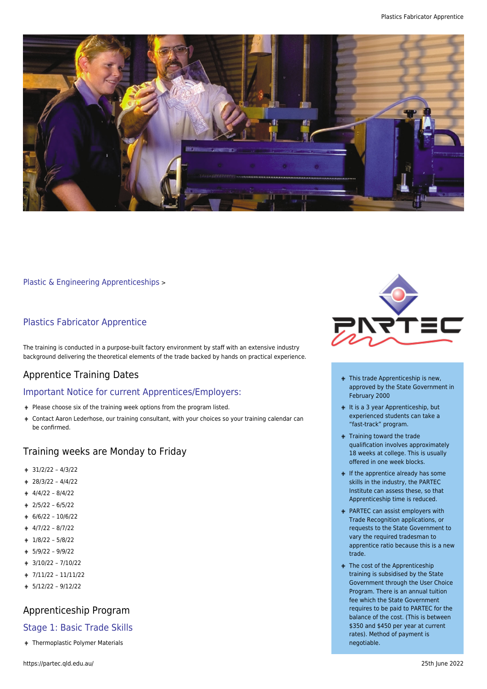

[Plastic & Engineering Apprenticeships](https://partec.qld.edu.au/plastic-engineering-apprenticeships/) >

#### Plastics Fabricator Apprentice

The training is conducted in a purpose-built factory environment by staff with an extensive industry background delivering the theoretical elements of the trade backed by hands on practical experience.

#### Apprentice Training Dates

#### Important Notice for current Apprentices/Employers:

- Please choose six of the training week options from the program listed.
- Contact Aaron Lederhose, our training consultant, with your choices so your training calendar can be confirmed.

#### Training weeks are Monday to Friday

- 31/2/22 4/3/22
- 28/3/22 4/4/22
- 4/4/22 8/4/22
- 2/5/22 6/5/22
- 6/6/22 10/6/22
- $+ 4/7/22 8/7/22$
- 1/8/22 5/8/22
- 5/9/22 9/9/22
- 3/10/22 7/10/22
- 7/11/22 11/11/22
- $+ 5/12/22 9/12/22$

# Apprenticeship Program

#### Stage 1: Basic Trade Skills

Thermoplastic Polymer Materials



- + This trade Apprenticeship is new, approved by the State Government in February 2000
- $+$  It is a 3 year Apprenticeship, but experienced students can take a "fast-track" program.
- + Training toward the trade qualification involves approximately 18 weeks at college. This is usually offered in one week blocks.
- $\blacksquare$  If the apprentice already has some skills in the industry, the PARTEC Institute can assess these, so that Apprenticeship time is reduced.
- + PARTEC can assist employers with Trade Recognition applications, or requests to the State Government to vary the required tradesman to apprentice ratio because this is a new trade.
- + The cost of the Apprenticeship training is subsidised by the State Government through the User Choice Program. There is an annual tuition fee which the State Government requires to be paid to PARTEC for the balance of the cost. (This is between \$350 and \$450 per year at current rates). Method of payment is negotiable.